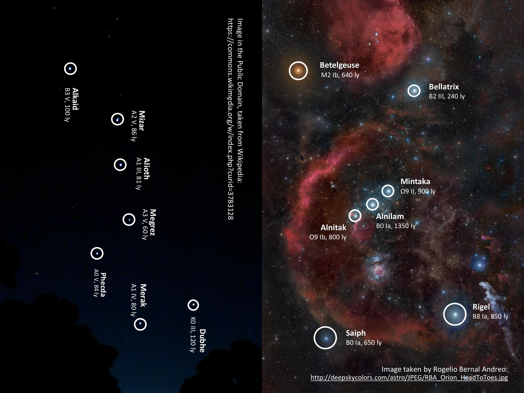



Image taken by Rogelio Bernal Andreo: http://deepskycolors.com/astro/JPEG/RBA\_Orion\_HeadToToes.jpg